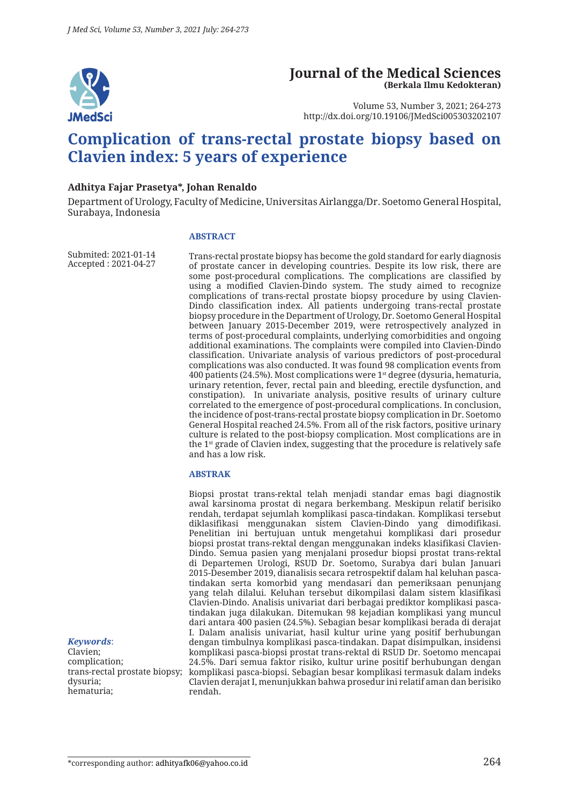

# **Journal of the Medical Sciences (Berkala Ilmu Kedokteran)**

Volume 53, Number 3, 2021; 264-273 http://dx.doi.org/10.19106/JMedSci005303202107

# **Complication of trans-rectal prostate biopsy based on Clavien index: 5 years of experience**

#### **Adhitya Fajar Prasetya\*, Johan Renaldo**

Department of Urology, Faculty of Medicine, Universitas Airlangga/Dr. Soetomo General Hospital, Surabaya, Indonesia

#### **ABSTRACT**

Submited: 2021-01-14 Accepted : 2021-04-27

Trans-rectal prostate biopsy has become the gold standard for early diagnosis of prostate cancer in developing countries. Despite its low risk, there are some post-procedural complications. The complications are classified by using a modified Clavien-Dindo system. The study aimed to recognize complications of trans-rectal prostate biopsy procedure by using Clavien-Dindo classification index. All patients undergoing trans-rectal prostate biopsy procedure in the Department of Urology, Dr. Soetomo General Hospital between January 2015-December 2019, were retrospectively analyzed in terms of post-procedural complaints, underlying comorbidities and ongoing additional examinations. The complaints were compiled into Clavien-Dindo classification. Univariate analysis of various predictors of post-procedural complications was also conducted. It was found 98 complication events from 400 patients (24.5%). Most complications were 1st degree (dysuria, hematuria, urinary retention, fever, rectal pain and bleeding, erectile dysfunction, and constipation). In univariate analysis, positive results of urinary culture correlated to the emergence of post-procedural complications. In conclusion, the incidence of post-trans-rectal prostate biopsy complication in Dr. Soetomo General Hospital reached 24.5%. From all of the risk factors, positive urinary culture is related to the post-biopsy complication. Most complications are in the 1st grade of Clavien index, suggesting that the procedure is relatively safe and has a low risk.

#### **ABSTRAK**

trans-rectal prostate biopsy; komplikasi pasca-biopsi. Sebagian besar komplikasi termasuk dalam indeks Biopsi prostat trans-rektal telah menjadi standar emas bagi diagnostik awal karsinoma prostat di negara berkembang. Meskipun relatif berisiko rendah, terdapat sejumlah komplikasi pasca-tindakan. Komplikasi tersebut diklasifikasi menggunakan sistem Clavien-Dindo yang dimodifikasi. Penelitian ini bertujuan untuk mengetahui komplikasi dari prosedur biopsi prostat trans-rektal dengan menggunakan indeks klasifikasi Clavien-Dindo. Semua pasien yang menjalani prosedur biopsi prostat trans-rektal di Departemen Urologi, RSUD Dr. Soetomo, Surabya dari bulan Januari 2015-Desember 2019, dianalisis secara retrospektif dalam hal keluhan pascatindakan serta komorbid yang mendasari dan pemeriksaan penunjang yang telah dilalui. Keluhan tersebut dikompilasi dalam sistem klasifikasi Clavien-Dindo. Analisis univariat dari berbagai prediktor komplikasi pascatindakan juga dilakukan. Ditemukan 98 kejadian komplikasi yang muncul dari antara 400 pasien (24.5%). Sebagian besar komplikasi berada di derajat I. Dalam analisis univariat, hasil kultur urine yang positif berhubungan dengan timbulnya komplikasi pasca-tindakan. Dapat disimpulkan, insidensi komplikasi pasca-biopsi prostat trans-rektal di RSUD Dr. Soetomo mencapai 24.5%. Dari semua faktor risiko, kultur urine positif berhubungan dengan Clavien derajat I, menunjukkan bahwa prosedur ini relatif aman dan berisiko rendah.

#### *Keywords*:

Clavien; complication; dysuria; hematuria;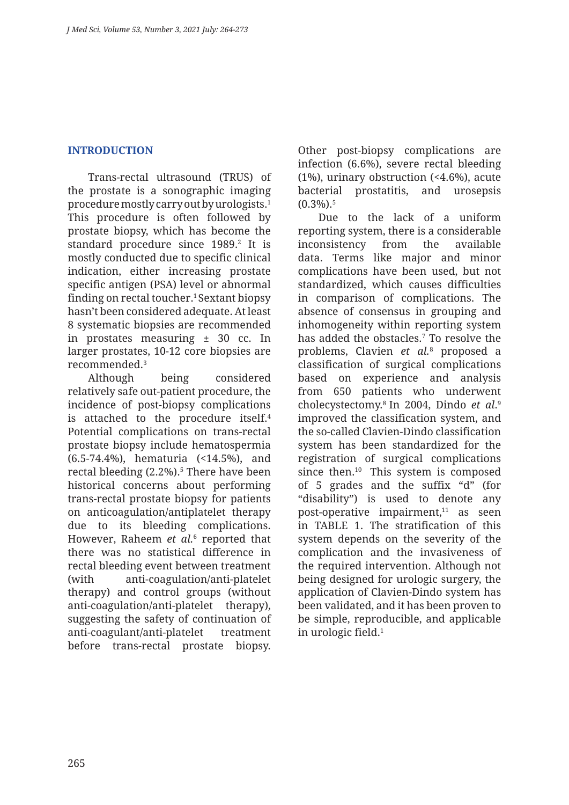## **INTRODUCTION**

Trans-rectal ultrasound (TRUS) of the prostate is a sonographic imaging procedure mostly carry out by urologists.1 This procedure is often followed by prostate biopsy, which has become the standard procedure since 1989.<sup>2</sup> It is mostly conducted due to specific clinical indication, either increasing prostate specific antigen (PSA) level or abnormal finding on rectal toucher.1 Sextant biopsy hasn't been considered adequate. At least 8 systematic biopsies are recommended in prostates measuring ± 30 cc. In larger prostates, 10-12 core biopsies are recommended.3

Although being considered relatively safe out-patient procedure, the incidence of post-biopsy complications is attached to the procedure itself.<sup>4</sup> Potential complications on trans-rectal prostate biopsy include hematospermia (6.5-74.4%), hematuria (<14.5%), and rectal bleeding (2.2%).5 There have been historical concerns about performing trans-rectal prostate biopsy for patients on anticoagulation/antiplatelet therapy due to its bleeding complications. However, Raheem *et al.*<sup>6</sup> reported that there was no statistical difference in rectal bleeding event between treatment (with anti-coagulation/anti-platelet therapy) and control groups (without anti-coagulation/anti-platelet therapy), suggesting the safety of continuation of anti-coagulant/anti-platelet treatment before trans-rectal prostate biopsy.

Other post-biopsy complications are infection (6.6%), severe rectal bleeding (1%), urinary obstruction (<4.6%), acute bacterial prostatitis, and urosepsis  $(0.3\%)$ .<sup>5</sup>

Due to the lack of a uniform reporting system, there is a considerable inconsistency from the available data. Terms like major and minor complications have been used, but not standardized, which causes difficulties in comparison of complications. The absence of consensus in grouping and inhomogeneity within reporting system has added the obstacles.7 To resolve the problems, Clavien *et al.*<sup>8</sup> proposed a classification of surgical complications based on experience and analysis from 650 patients who underwent cholecystectomy.8 In 2004, Dindo *et al*. 9 improved the classification system, and the so-called Clavien-Dindo classification system has been standardized for the registration of surgical complications since then.<sup>10</sup> This system is composed of 5 grades and the suffix "d" (for "disability") is used to denote any post-operative impairment,<sup>11</sup> as seen in TABLE 1. The stratification of this system depends on the severity of the complication and the invasiveness of the required intervention. Although not being designed for urologic surgery, the application of Clavien-Dindo system has been validated, and it has been proven to be simple, reproducible, and applicable in urologic field.1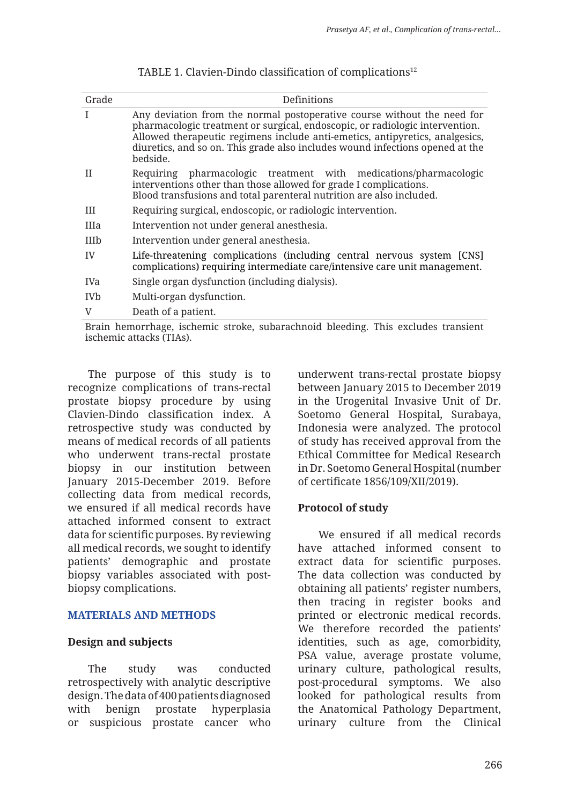| Grade                 | Definitions                                                                                                                                                                                                                                                                                                                          |
|-----------------------|--------------------------------------------------------------------------------------------------------------------------------------------------------------------------------------------------------------------------------------------------------------------------------------------------------------------------------------|
|                       | Any deviation from the normal postoperative course without the need for<br>pharmacologic treatment or surgical, endoscopic, or radiologic intervention.<br>Allowed therapeutic regimens include anti-emetics, antipyretics, analgesics,<br>diuretics, and so on. This grade also includes wound infections opened at the<br>bedside. |
| H                     | Requiring pharmacologic treatment with medications/pharmacologic<br>interventions other than those allowed for grade I complications.<br>Blood transfusions and total parenteral nutrition are also included.                                                                                                                        |
| Ш                     | Requiring surgical, endoscopic, or radiologic intervention.                                                                                                                                                                                                                                                                          |
| IIIa                  | Intervention not under general anesthesia.                                                                                                                                                                                                                                                                                           |
| <b>IIIb</b>           | Intervention under general anesthesia.                                                                                                                                                                                                                                                                                               |
| IV                    | Life-threatening complications (including central nervous system [CNS]<br>complications) requiring intermediate care/intensive care unit management.                                                                                                                                                                                 |
| IVa                   | Single organ dysfunction (including dialysis).                                                                                                                                                                                                                                                                                       |
| <b>IV<sub>b</sub></b> | Multi-organ dysfunction.                                                                                                                                                                                                                                                                                                             |
| $\mathbf{V}$          | Death of a patient.                                                                                                                                                                                                                                                                                                                  |
|                       |                                                                                                                                                                                                                                                                                                                                      |

| TABLE 1. Clavien-Dindo classification of complications <sup>12</sup> |  |  |  |  |
|----------------------------------------------------------------------|--|--|--|--|
|----------------------------------------------------------------------|--|--|--|--|

Brain hemorrhage, ischemic stroke, subarachnoid bleeding. This excludes transient ischemic attacks (TIAs).

The purpose of this study is to recognize complications of trans-rectal prostate biopsy procedure by using Clavien-Dindo classification index. A retrospective study was conducted by means of medical records of all patients who underwent trans-rectal prostate biopsy in our institution between January 2015-December 2019. Before collecting data from medical records, we ensured if all medical records have attached informed consent to extract data for scientific purposes. By reviewing all medical records, we sought to identify patients' demographic and prostate biopsy variables associated with postbiopsy complications.

### **MATERIALS AND METHODS**

### **Design and subjects**

The study was conducted retrospectively with analytic descriptive design. The data of 400 patients diagnosed with benign prostate hyperplasia or suspicious prostate cancer who underwent trans-rectal prostate biopsy between January 2015 to December 2019 in the Urogenital Invasive Unit of Dr. Soetomo General Hospital, Surabaya, Indonesia were analyzed. The protocol of study has received approval from the Ethical Committee for Medical Research in Dr. Soetomo General Hospital (number of certificate 1856/109/XII/2019).

# **Protocol of study**

We ensured if all medical records have attached informed consent to extract data for scientific purposes. The data collection was conducted by obtaining all patients' register numbers, then tracing in register books and printed or electronic medical records. We therefore recorded the patients' identities, such as age, comorbidity, PSA value, average prostate volume, urinary culture, pathological results, post-procedural symptoms. We also looked for pathological results from the Anatomical Pathology Department, urinary culture from the Clinical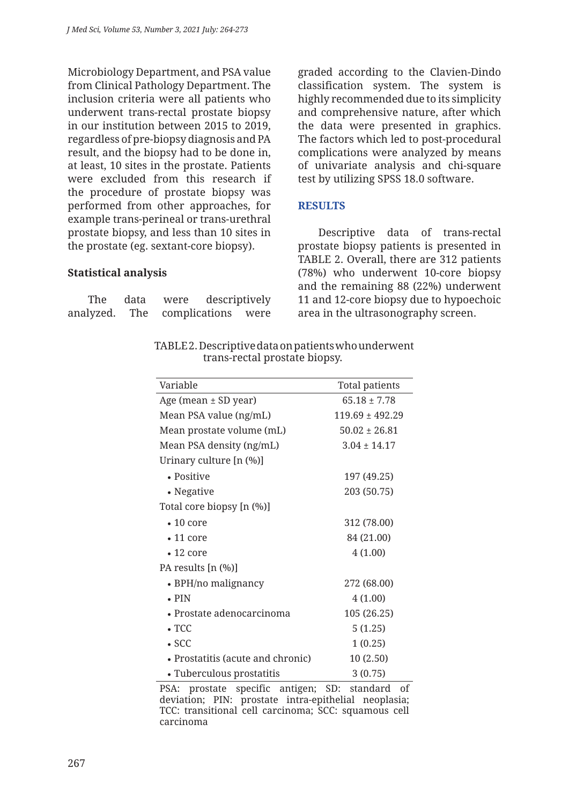Microbiology Department, and PSA value from Clinical Pathology Department. The inclusion criteria were all patients who underwent trans-rectal prostate biopsy in our institution between 2015 to 2019, regardless of pre-biopsy diagnosis and PA result, and the biopsy had to be done in, at least, 10 sites in the prostate. Patients were excluded from this research if the procedure of prostate biopsy was performed from other approaches, for example trans-perineal or trans-urethral prostate biopsy, and less than 10 sites in the prostate (eg. sextant-core biopsy).

### **Statistical analysis**

| The data                         | were | descriptively |
|----------------------------------|------|---------------|
| analyzed. The complications were |      |               |

graded according to the Clavien-Dindo classification system. The system is highly recommended due to its simplicity and comprehensive nature, after which the data were presented in graphics. The factors which led to post-procedural complications were analyzed by means of univariate analysis and chi-square test by utilizing SPSS 18.0 software.

## **RESULTS**

Descriptive data of trans-rectal prostate biopsy patients is presented in TABLE 2. Overall, there are 312 patients (78%) who underwent 10-core biopsy and the remaining 88 (22%) underwent 11 and 12-core biopsy due to hypoechoic area in the ultrasonography screen.

TABLE 2. Descriptive data on patients who underwent trans-rectal prostate biopsy.

| Variable                          | Total patients    |
|-----------------------------------|-------------------|
| Age (mean ± SD year)              | $65.18 + 7.78$    |
| Mean PSA value (ng/mL)            | $119.69 + 492.29$ |
| Mean prostate volume (mL)         | $50.02 \pm 26.81$ |
| Mean PSA density (ng/mL)          | $3.04 \pm 14.17$  |
| Urinary culture [n (%)]           |                   |
| • Positive                        | 197 (49.25)       |
| • Negative                        | 203 (50.75)       |
| Total core biopsy [n (%)]         |                   |
| $\bullet$ 10 core                 | 312 (78.00)       |
| $\cdot$ 11 core                   | 84 (21.00)        |
| $\bullet$ 12 core                 | 4(1.00)           |
| PA results [n (%)]                |                   |
| • BPH/no malignancy               | 272 (68.00)       |
| $\bullet$ PIN                     | 4(1.00)           |
| $\bullet$ Prostate adenocarcinoma | 105 (26.25)       |
| $\cdot$ TCC                       | 5(1.25)           |
| $\cdot$ SCC                       | 1(0.25)           |
| • Prostatitis (acute and chronic) | 10 (2.50)         |
| • Tuberculous prostatitis         | 3(0.75)           |

PSA: prostate specific antigen; SD: standard of deviation; PIN: prostate intra-epithelial neoplasia; TCC: transitional cell carcinoma; SCC: squamous cell carcinoma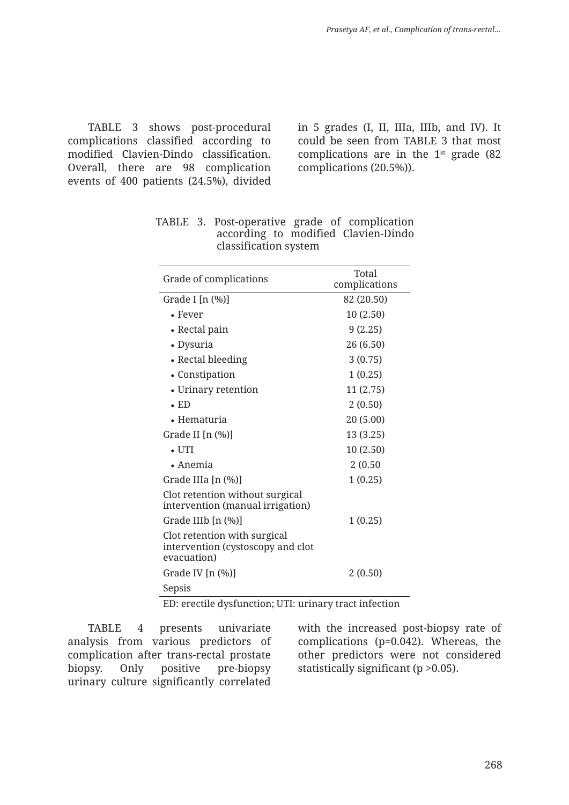TABLE 3 shows post-procedural complications classified according to modified Clavien-Dindo classification. Overall, there are 98 complication events of 400 patients (24.5%), divided in 5 grades (I, II, IIIa, IIIb, and IV). It could be seen from TABLE 3 that most complications are in the  $1<sup>st</sup>$  grade (82) complications (20.5%)).

| Grade of complications                                                           | Total<br>complications |  |  |  |
|----------------------------------------------------------------------------------|------------------------|--|--|--|
| Grade I [n $(\%)$ ]                                                              | 82 (20.50)             |  |  |  |
| $\bullet$ Fever                                                                  | 10(2.50)               |  |  |  |
| • Rectal pain                                                                    | 9(2.25)                |  |  |  |
| • Dysuria                                                                        | 26 (6.50)              |  |  |  |
| • Rectal bleeding                                                                | 3(0.75)                |  |  |  |
| • Constipation                                                                   | 1(0.25)                |  |  |  |
| • Urinary retention                                                              | 11 (2.75)              |  |  |  |
| $\cdot$ ED                                                                       | 2(0.50)                |  |  |  |
| • Hematuria                                                                      | 20 (5.00)              |  |  |  |
| Grade II [n (%)]                                                                 | 13 (3.25)              |  |  |  |
| $\bullet$ UTI                                                                    | 10 (2.50)              |  |  |  |
| $\bullet$ Anemia                                                                 | 2(0.50)                |  |  |  |
| Grade IIIa [n (%)]                                                               | 1(0.25)                |  |  |  |
| Clot retention without surgical<br>intervention (manual irrigation)              |                        |  |  |  |
| Grade IIIb [n (%)]                                                               | 1(0.25)                |  |  |  |
| Clot retention with surgical<br>intervention (cystoscopy and clot<br>evacuation) |                        |  |  |  |
| Grade IV [n (%)]                                                                 | 2(0.50)                |  |  |  |
| Sepsis                                                                           |                        |  |  |  |
| FD, anoatila drafunation: UTL uniners treat infection                            |                        |  |  |  |

TABLE 3. Post-operative grade of complication according to modified Clavien-Dindo classification system

ED: erectile dysfunction; UTI: urinary tract infection

TABLE 4 presents univariate analysis from various predictors of complication after trans-rectal prostate biopsy. Only positive pre-biopsy urinary culture significantly correlated with the increased post-biopsy rate of complications (p=0.042). Whereas, the other predictors were not considered statistically significant (p >0.05).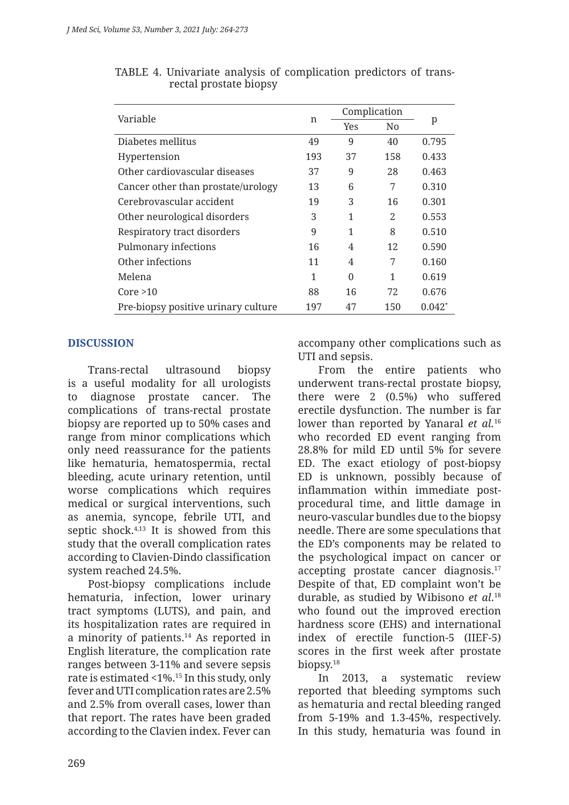| Variable                            |     | Complication |                |          |  |
|-------------------------------------|-----|--------------|----------------|----------|--|
|                                     | n   | <b>Yes</b>   | N <sub>0</sub> | p        |  |
| Diabetes mellitus                   | 49  | 9            | 40             | 0.795    |  |
| Hypertension                        | 193 | 37           | 158            | 0.433    |  |
| Other cardiovascular diseases       | 37  | 9            | 28             | 0.463    |  |
| Cancer other than prostate/urology  | 13  | 6            | 7              | 0.310    |  |
| Cerebrovascular accident            | 19  | 3            | 16             | 0.301    |  |
| Other neurological disorders        | 3   | 1            | 2              | 0.553    |  |
| Respiratory tract disorders         | 9   | 1            | 8              | 0.510    |  |
| Pulmonary infections                | 16  | 4            | 12             | 0.590    |  |
| Other infections                    | 11  | 4            | 7              | 0.160    |  |
| Melena                              | 1   | $\Omega$     | 1              | 0.619    |  |
| Core > 10                           | 88  | 16           | 72             | 0.676    |  |
| Pre-biopsy positive urinary culture | 197 | 47           | 150            | $0.042*$ |  |

|                        |  |  | TABLE 4. Univariate analysis of complication predictors of trans- |  |  |
|------------------------|--|--|-------------------------------------------------------------------|--|--|
| rectal prostate biopsy |  |  |                                                                   |  |  |

# **DISCUSSION**

Trans-rectal ultrasound biopsy is a useful modality for all urologists to diagnose prostate cancer. The complications of trans-rectal prostate biopsy are reported up to 50% cases and range from minor complications which only need reassurance for the patients like hematuria, hematospermia, rectal bleeding, acute urinary retention, until worse complications which requires medical or surgical interventions, such as anemia, syncope, febrile UTI, and septic shock. $4,13$  It is showed from this study that the overall complication rates according to Clavien-Dindo classification system reached 24.5%.

Post-biopsy complications include hematuria, infection, lower urinary tract symptoms (LUTS), and pain, and its hospitalization rates are required in a minority of patients.14 As reported in English literature, the complication rate ranges between 3-11% and severe sepsis rate is estimated <1%.15 In this study, only fever and UTI complication rates are 2.5% and 2.5% from overall cases, lower than that report. The rates have been graded according to the Clavien index. Fever can accompany other complications such as UTI and sepsis.

From the entire patients who underwent trans-rectal prostate biopsy, there were 2 (0.5%) who suffered erectile dysfunction. The number is far lower than reported by Yanaral *et al.*<sup>16</sup> who recorded ED event ranging from 28.8% for mild ED until 5% for severe ED. The exact etiology of post-biopsy ED is unknown, possibly because of inflammation within immediate postprocedural time, and little damage in neuro-vascular bundles due to the biopsy needle. There are some speculations that the ED's components may be related to the psychological impact on cancer or accepting prostate cancer diagnosis.17 Despite of that, ED complaint won't be durable, as studied by Wibisono *et al*. 18 who found out the improved erection hardness score (EHS) and international index of erectile function-5 (IIEF-5) scores in the first week after prostate biopsy.18

In 2013, a systematic review reported that bleeding symptoms such as hematuria and rectal bleeding ranged from 5-19% and 1.3-45%, respectively. In this study, hematuria was found in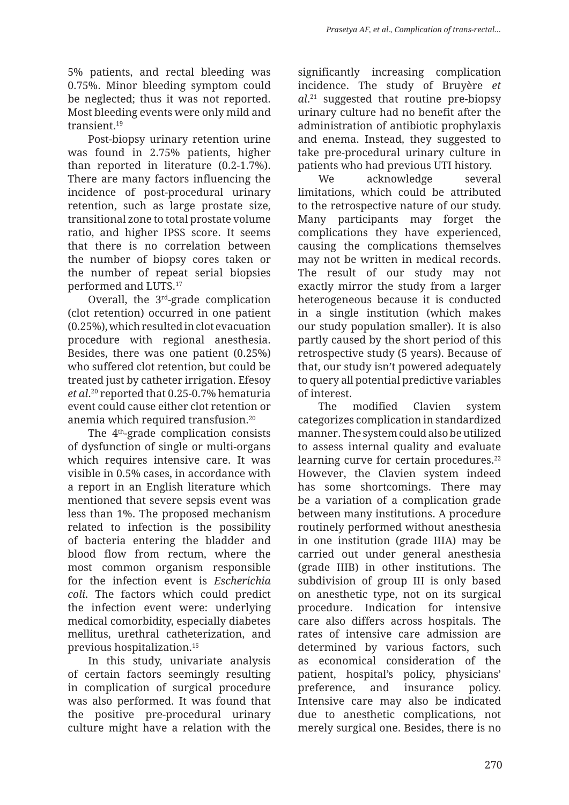5% patients, and rectal bleeding was 0.75%. Minor bleeding symptom could be neglected; thus it was not reported. Most bleeding events were only mild and transient.19

Post-biopsy urinary retention urine was found in 2.75% patients, higher than reported in literature (0.2-1.7%). There are many factors influencing the incidence of post-procedural urinary retention, such as large prostate size, transitional zone to total prostate volume ratio, and higher IPSS score. It seems that there is no correlation between the number of biopsy cores taken or the number of repeat serial biopsies performed and LUTS.17

Overall, the 3<sup>rd</sup>-grade complication (clot retention) occurred in one patient (0.25%), which resulted in clot evacuation procedure with regional anesthesia. Besides, there was one patient (0.25%) who suffered clot retention, but could be treated just by catheter irrigation. Efesoy *et al*. 20 reported that 0.25-0.7% hematuria event could cause either clot retention or anemia which required transfusion.20

The 4<sup>th</sup>-grade complication consists of dysfunction of single or multi-organs which requires intensive care. It was visible in 0.5% cases, in accordance with a report in an English literature which mentioned that severe sepsis event was less than 1%. The proposed mechanism related to infection is the possibility of bacteria entering the bladder and blood flow from rectum, where the most common organism responsible for the infection event is *Escherichia coli*. The factors which could predict the infection event were: underlying medical comorbidity, especially diabetes mellitus, urethral catheterization, and previous hospitalization.15

In this study, univariate analysis of certain factors seemingly resulting in complication of surgical procedure was also performed. It was found that the positive pre-procedural urinary culture might have a relation with the significantly increasing complication incidence. The study of Bruyère *et al*. 21 suggested that routine pre-biopsy urinary culture had no benefit after the administration of antibiotic prophylaxis and enema. Instead, they suggested to take pre-procedural urinary culture in patients who had previous UTI history.

We acknowledge several limitations, which could be attributed to the retrospective nature of our study. Many participants may forget the complications they have experienced, causing the complications themselves may not be written in medical records. The result of our study may not exactly mirror the study from a larger heterogeneous because it is conducted in a single institution (which makes our study population smaller). It is also partly caused by the short period of this retrospective study (5 years). Because of that, our study isn't powered adequately to query all potential predictive variables of interest.

The modified Clavien system categorizes complication in standardized manner. The system could also be utilized to assess internal quality and evaluate learning curve for certain procedures.<sup>22</sup> However, the Clavien system indeed has some shortcomings. There may be a variation of a complication grade between many institutions. A procedure routinely performed without anesthesia in one institution (grade IIIA) may be carried out under general anesthesia (grade IIIB) in other institutions. The subdivision of group III is only based on anesthetic type, not on its surgical procedure. Indication for intensive care also differs across hospitals. The rates of intensive care admission are determined by various factors, such as economical consideration of the patient, hospital's policy, physicians' preference, and insurance policy. Intensive care may also be indicated due to anesthetic complications, not merely surgical one. Besides, there is no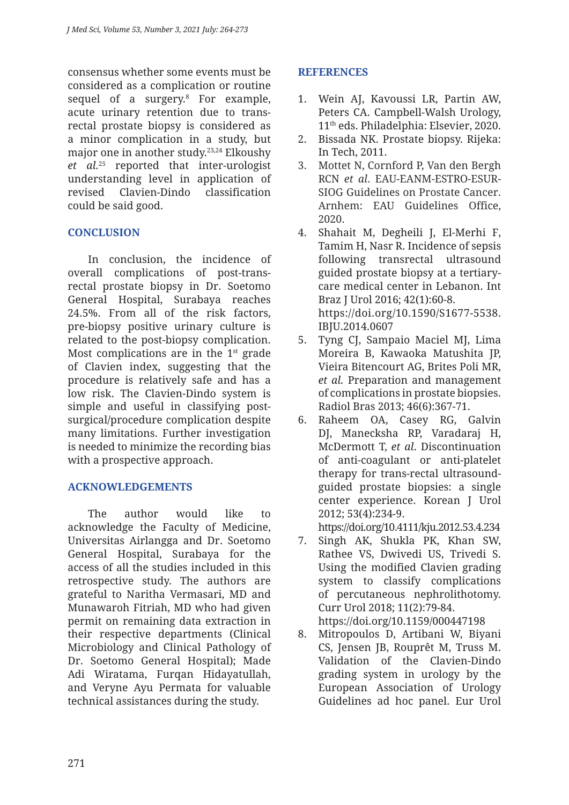consensus whether some events must be considered as a complication or routine sequel of a surgery.8 For example, acute urinary retention due to transrectal prostate biopsy is considered as a minor complication in a study, but major one in another study.23,24 Elkoushy *et al.*25 reported that inter-urologist understanding level in application of revised Clavien-Dindo classification could be said good.

# **CONCLUSION**

In conclusion, the incidence of overall complications of post-transrectal prostate biopsy in Dr. Soetomo General Hospital, Surabaya reaches 24.5%. From all of the risk factors, pre-biopsy positive urinary culture is related to the post-biopsy complication. Most complications are in the  $1<sup>st</sup>$  grade of Clavien index, suggesting that the procedure is relatively safe and has a low risk. The Clavien-Dindo system is simple and useful in classifying postsurgical/procedure complication despite many limitations. Further investigation is needed to minimize the recording bias with a prospective approach.

# **ACKNOWLEDGEMENTS**

The author would like to acknowledge the Faculty of Medicine, Universitas Airlangga and Dr. Soetomo General Hospital, Surabaya for the access of all the studies included in this retrospective study. The authors are grateful to Naritha Vermasari, MD and Munawaroh Fitriah, MD who had given permit on remaining data extraction in their respective departments (Clinical Microbiology and Clinical Pathology of Dr. Soetomo General Hospital); Made Adi Wiratama, Furqan Hidayatullah, and Veryne Ayu Permata for valuable technical assistances during the study.

# **REFERENCES**

- 1. Wein AJ, Kavoussi LR, Partin AW, Peters CA. Campbell-Walsh Urology, 11th eds. Philadelphia: Elsevier, 2020.
- 2. Bissada NK. Prostate biopsy. Rijeka: In Tech, 2011.
- 3. Mottet N, Cornford P, Van den Bergh RCN *et al*. EAU-EANM-ESTRO-ESUR-SIOG Guidelines on Prostate Cancer. Arnhem: EAU Guidelines Office, 2020.
- 4. Shahait M, Degheili J, El-Merhi F, Tamim H, Nasr R. Incidence of sepsis following transrectal ultrasound guided prostate biopsy at a tertiarycare medical center in Lebanon. Int Braz J Urol 2016; 42(1):60-8. https://doi.org/10.1590/S1677-5538. IBJU.2014.0607
- 5. Tyng CJ, Sampaio Maciel MJ, Lima Moreira B, Kawaoka Matushita JP, Vieira Bitencourt AG, Brites Poli MR, *et al.* Preparation and management of complications in prostate biopsies. Radiol Bras 2013; 46(6):367-71.
- 6. Raheem OA, Casey RG, Galvin DJ, Manecksha RP, Varadaraj H, McDermott T, *et al*. Discontinuation of anti-coagulant or anti-platelet therapy for trans-rectal ultrasoundguided prostate biopsies: a single center experience. Korean J Urol 2012; 53(4):234-9.

https://doi.org/10.4111/kju.2012.53.4.234

- 7. Singh AK, Shukla PK, Khan SW, Rathee VS, Dwivedi US, Trivedi S. Using the modified Clavien grading system to classify complications of percutaneous nephrolithotomy. Curr Urol 2018; 11(2):79-84. https://doi.org/10.1159/000447198
- 8. Mitropoulos D, Artibani W, Biyani CS, Jensen JB, Rouprêt M, Truss M. Validation of the Clavien-Dindo grading system in urology by the European Association of Urology Guidelines ad hoc panel. Eur Urol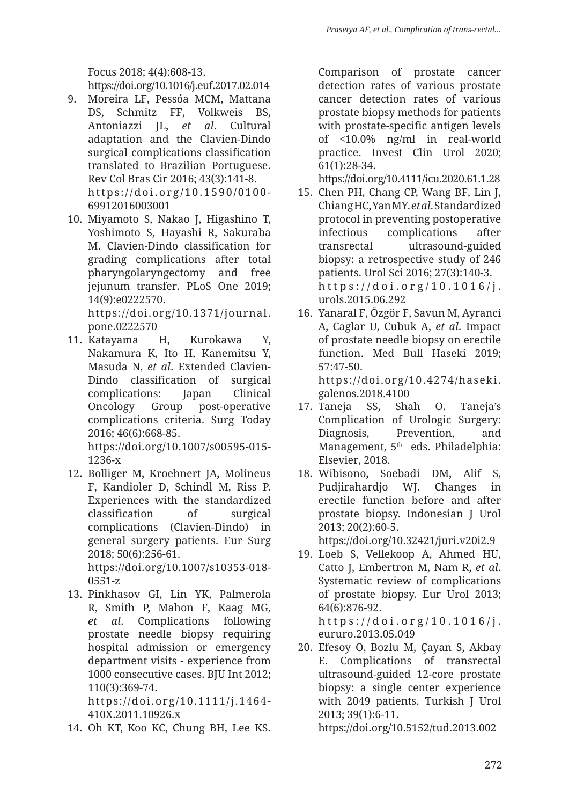Focus 2018; 4(4):608-13.

https://doi.org/10.1016/j.euf.2017.02.014

- 9. Moreira LF, Pessóa MCM, Mattana DS, Schmitz FF, Volkweis BS, Antoniazzi JL, *et al*. Cultural adaptation and the Clavien-Dindo surgical complications classification translated to Brazilian Portuguese. Rev Col Bras Cir 2016; 43(3):141-8. https://doi.org/10.1590/0100- 69912016003001
- 10. Miyamoto S, Nakao J, Higashino T, Yoshimoto S, Hayashi R, Sakuraba M. Clavien-Dindo classification for grading complications after total pharyngolaryngectomy and free jejunum transfer. PLoS One 2019; 14(9):e0222570.

https://doi.org/10.1371/journal. pone.0222570

11. Katayama H, Kurokawa Y, Nakamura K, Ito H, Kanemitsu Y, Masuda N, *et al*. Extended Clavien-Dindo classification of surgical complications: Japan Clinical Oncology Group post-operative complications criteria. Surg Today 2016; 46(6):668-85. https://doi.org/10.1007/s00595-015-

1236-x

- 12. Bolliger M, Kroehnert JA, Molineus F, Kandioler D, Schindl M, Riss P. Experiences with the standardized classification of surgical complications (Clavien-Dindo) in general surgery patients. Eur Surg 2018; 50(6):256-61. https://doi.org/10.1007/s10353-018- 0551-z
- 13. Pinkhasov GI, Lin YK, Palmerola R, Smith P, Mahon F, Kaag MG, *et al*. Complications following prostate needle biopsy requiring hospital admission or emergency department visits - experience from 1000 consecutive cases. BJU Int 2012; 110(3):369-74.

https://doi.org/10.1111/j.1464- 410X.2011.10926.x

14. Oh KT, Koo KC, Chung BH, Lee KS.

Comparison of prostate cancer detection rates of various prostate cancer detection rates of various prostate biopsy methods for patients with prostate-specific antigen levels of <10.0% ng/ml in real-world practice. Invest Clin Urol 2020; 61(1):28-34.

https://doi.org/10.4111/icu.2020.61.1.28

- 15. Chen PH, Chang CP, Wang BF, Lin J, Chiang HC, Yan MY. *et al*. Standardized protocol in preventing postoperative infectious complications after transrectal ultrasound-guided biopsy: a retrospective study of 246 patients. Urol Sci 2016; 27(3):140-3. https://doi.org/10.1016/j. urols.2015.06.292
- 16. Yanaral F, Özgör F, Savun M, Ayranci A, Caglar U, Cubuk A, *et al*. Impact of prostate needle biopsy on erectile function. Med Bull Haseki 2019; 57:47-50. https://doi.org/10.4274/haseki. galenos.2018.4100
- 17. Taneja SS, Shah O. Taneja's Complication of Urologic Surgery: Diagnosis, Prevention, and Management, 5<sup>th</sup> eds. Philadelphia: Elsevier, 2018.
- 18. Wibisono, Soebadi DM, Alif S, Pudjirahardjo WJ. Changes in erectile function before and after prostate biopsy. Indonesian J Urol 2013; 20(2):60-5.

https://doi.org/10.32421/juri.v20i2.9

- 19. Loeb S, Vellekoop A, Ahmed HU, Catto J, Embertron M, Nam R, *et al*. Systematic review of complications of prostate biopsy. Eur Urol 2013; 64(6):876-92. https://doi.org/10.1016/j.
- eururo.2013.05.049 20. Efesoy O, Bozlu M, Çayan S, Akbay E. Complications of transrectal
	- ultrasound-guided 12-core prostate biopsy: a single center experience with 2049 patients. Turkish J Urol 2013; 39(1):6-11.

https://doi.org/10.5152/tud.2013.002